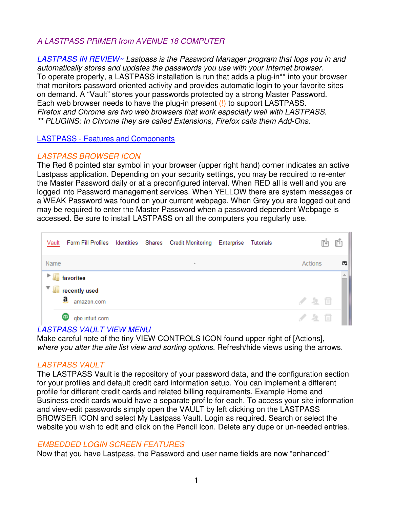# *A LASTPASS PRIMER from AVENUE 18 COMPUTER*

*LASTPASS IN REVIEW~ Lastpass is the Password Manager program that logs you in and automatically stores and updates the passwords you use with your Internet browser.*  To operate properly, a LASTPASS installation is run that adds a plug-in\*\* into your browser that monitors password oriented activity and provides automatic login to your favorite sites on demand. A "Vault" stores your passwords protected by a strong Master Password. Each web browser needs to have the plug-in present (!) to support LASTPASS. *Firefox and Chrome are two web browsers that work especially well with LASTPASS. \*\* PLUGINS: In Chrome they are called Extensions, Firefox calls them Add-Ons.*

LASTPASS - Features and Components

## *LASTPASS BROWSER ICON*

The Red 8 pointed star symbol in your browser (upper right hand) corner indicates an active Lastpass application. Depending on your security settings, you may be required to re-enter the Master Password daily or at a preconfigured interval. When RED all is well and you are logged into Password management services. When YELLOW there are system messages or a WEAK Password was found on your current webpage. When Grey you are logged out and may be required to enter the Master Password when a password dependent Webpage is accessed. Be sure to install LASTPASS on all the computers you regularly use.

|      | Vault Form Fill Profiles Identities Shares Credit Monitoring Enterprise Tutorials |  |  | 叫       |   |
|------|-----------------------------------------------------------------------------------|--|--|---------|---|
| Name |                                                                                   |  |  | Actions | 閃 |
| Þ.   | <b>favorites</b>                                                                  |  |  |         |   |
|      | recently used<br>a<br>amazon.com                                                  |  |  | / 20    |   |
|      | Φ<br>qbo.intuit.com                                                               |  |  | / 2 回   |   |

### *LASTPASS VAULT VIEW MENU*

Make careful note of the tiny VIEW CONTROLS ICON found upper right of [Actions], *where you alter the site list view and sorting options.* Refresh/hide views using the arrows.

## *LASTPASS VAULT*

The LASTPASS Vault is the repository of your password data, and the configuration section for your profiles and default credit card information setup. You can implement a different profile for different credit cards and related billing requirements. Example Home and Business credit cards would have a separate profile for each. To access your site information and view-edit passwords simply open the VAULT by left clicking on the LASTPASS BROWSER ICON and select My Lastpass Vault. Login as required. Search or select the website you wish to edit and click on the Pencil Icon. Delete any dupe or un-needed entries.

### *EMBEDDED LOGIN SCREEN FEATURES*

Now that you have Lastpass, the Password and user name fields are now "enhanced"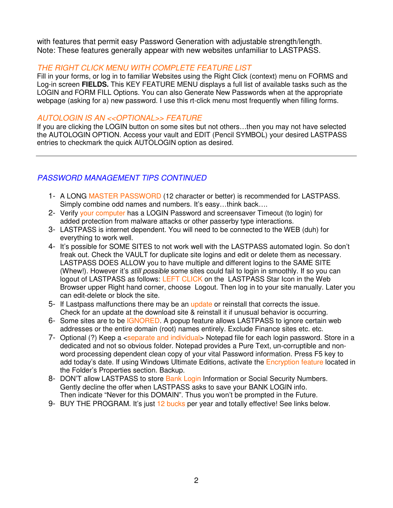with features that permit easy Password Generation with adjustable strength/length. Note: These features generally appear with new websites unfamiliar to LASTPASS.

### *THE RIGHT CLICK MENU WITH COMPLETE FEATURE LIST*

Fill in your forms, or log in to familiar Websites using the Right Click (context) menu on FORMS and Log-in screen **FIELDS.** This KEY FEATURE MENU displays a full list of available tasks such as the LOGIN and FORM FILL Options. You can also Generate New Passwords when at the appropriate webpage (asking for a) new password. I use this rt-click menu most frequently when filling forms.

### *AUTOLOGIN IS AN <<OPTIONAL>> FEATURE*

If you are clicking the LOGIN button on some sites but not others…then you may not have selected the AUTOLOGIN OPTION. Access your vault and EDIT (Pencil SYMBOL) your desired LASTPASS entries to checkmark the quick AUTOLOGIN option as desired.

# *PASSWORD MANAGEMENT TIPS CONTINUED*

- 1- A LONG MASTER PASSWORD (12 character or better) is recommended for LASTPASS. Simply combine odd names and numbers. It's easy…think back….
- 2- Verify your computer has a LOGIN Password and screensaver Timeout (to login) for added protection from malware attacks or other passerby type interactions.
- 3- LASTPASS is internet dependent. You will need to be connected to the WEB (duh) for everything to work well.
- 4- It's possible for SOME SITES to not work well with the LASTPASS automated login. So don't freak out. Check the VAULT for duplicate site logins and edit or delete them as necessary. LASTPASS DOES ALLOW you to have multiple and different logins to the SAME SITE (Whew!). However it's *still possible* some sites could fail to login in smoothly. If so you can logout of LASTPASS as follows: LEFT CLICK on the LASTPASS Star Icon in the Web Browser upper Right hand corner, choose Logout. Then log in to your site manually. Later you can edit-delete or block the site.
- 5- If Lastpass malfunctions there may be an update or reinstall that corrects the issue. Check for an update at the download site & reinstall it if unusual behavior is occurring.
- 6- Some sites are to be IGNORED. A popup feature allows LASTPASS to ignore certain web addresses or the entire domain (root) names entirely. Exclude Finance sites etc. etc.
- 7- Optional (?) Keep a <separate and individual> Notepad file for each login password. Store in a dedicated and not so obvious folder. Notepad provides a Pure Text, un-corruptible and nonword processing dependent clean copy of your vital Password information. Press F5 key to add today's date. If using Windows Ultimate Editions, activate the Encryption feature located in the Folder's Properties section. Backup.
- 8- DON'T allow LASTPASS to store Bank Login Information or Social Security Numbers. Gently decline the offer when LASTPASS asks to save your BANK LOGIN info. Then indicate "Never for this DOMAIN". Thus you won't be prompted in the Future.
- 9- BUY THE PROGRAM. It's just 12 bucks per year and totally effective! See links below.